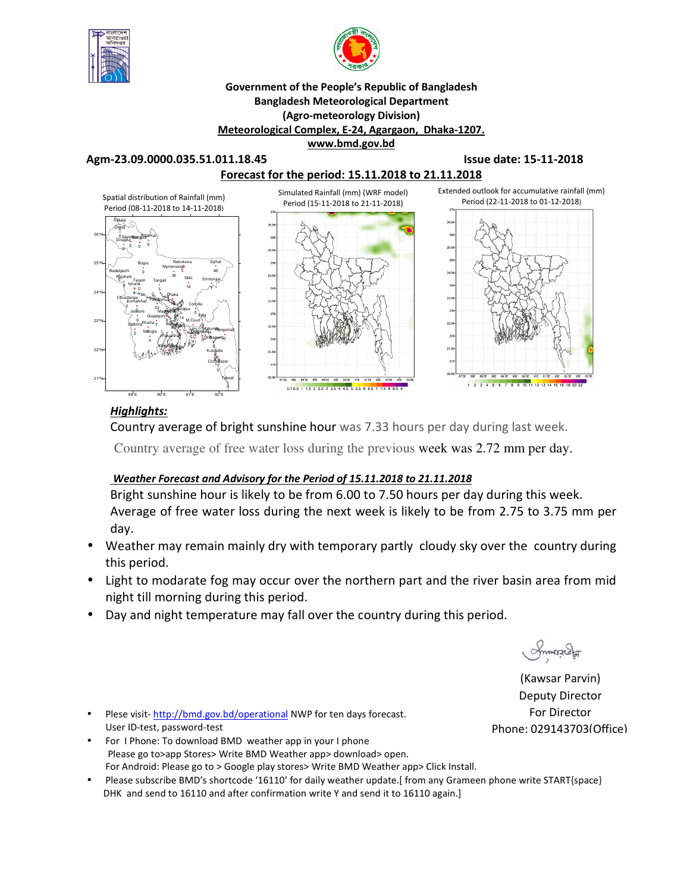



### **Government of the People's Republic of Bangladesh Bangladesh Meteorological Department (Agro-meteorology Division) Meteorological Complex, E-24, Agargaon, Dhaka-1207. www.bmd.gov.bd**

**Agm-23.09.0000.035.51.011.18.45 Issue date: 15-11-2018** 



# *Highlights:*

Country average of bright sunshine hour was 7.33 hours per day during last week.

Country average of free water loss during the previous week was 2.72 mm per day.

# *Weather Forecast and Advisory for the Period of 15.11.2018 to 21.11.2018*

Bright sunshine hour is likely to be from 6.00 to 7.50 hours per day during this week. Average of free water loss during the next week is likely to be from 2.75 to 3.75 mm per day.

- Weather may remain mainly dry with temporary partly cloudy sky over the country during this period.
- Light to modarate fog may occur over the northern part and the river basin area from mid night till morning during this period.
- Day and night temperature may fall over the country during this period.

(Kawsar Parvin) Deputy Director For Director Phone: 029143703(Office)

- Plese visit- http://bmd.gov.bd/operational NWP for ten days forecast. User ID-test, password-test
- For I Phone: To download BMD weather app in your I phone Please go to>app Stores> Write BMD Weather app> download> open. For Android: Please go to > Google play stores> Write BMD Weather app> Click Install.
- Please subscribe BMD's shortcode '16110' for daily weather update.[ from any Grameen phone write START{space} DHK and send to 16110 and after confirmation write Y and send it to 16110 again.]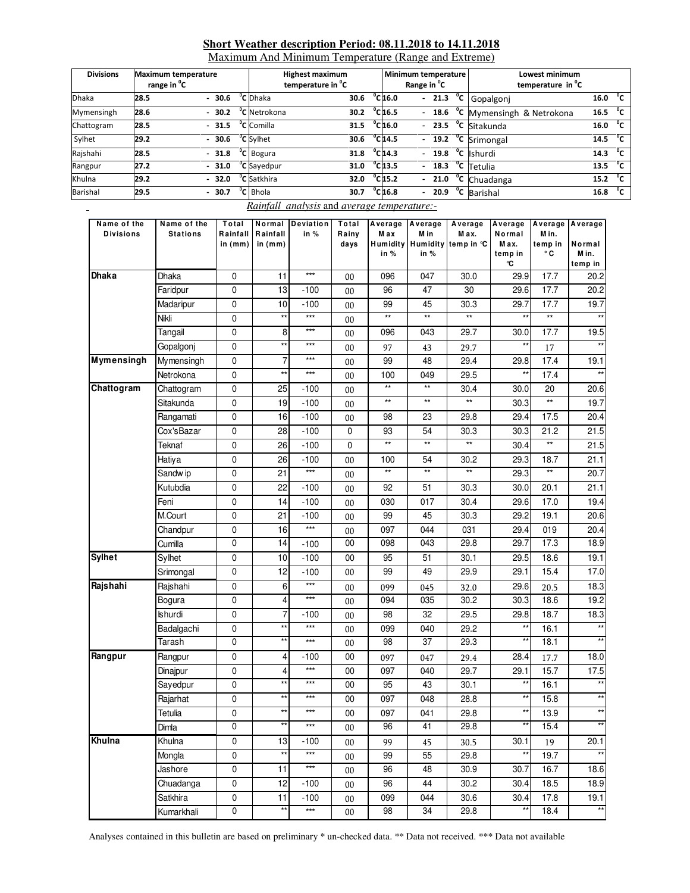## **Short Weather description Period: 08.11.2018 to 14.11.2018**

Maximum And Minimum Temperature (Range and Extreme)

| <b>Divisions</b> | <b>Maximum temperature</b><br>range in <sup>o</sup> C |         |                          | <b>Highest maximum</b><br>temperature in <sup>o</sup> C |                              |  | Minimum temperature<br>Range in <sup>o</sup> C | Lowest minimum<br>temperature in <sup>o</sup> C |      |              |
|------------------|-------------------------------------------------------|---------|--------------------------|---------------------------------------------------------|------------------------------|--|------------------------------------------------|-------------------------------------------------|------|--------------|
| <b>Dhaka</b>     | 28.5                                                  | $-30.6$ | <sup>o</sup> C Dhaka     | 30.6                                                    | $^{\circ}$ C <sub>16.0</sub> |  |                                                | $-21.3 °C$ Gopalgonj                            | 16.0 | $^{\circ}$ c |
| Mymensingh       | 28.6                                                  | $-30.2$ | <sup>o</sup> C Netrokona | 30.2                                                    | $^{\circ}$ C <sub>16.5</sub> |  |                                                | - 18.6 °C Mymensingh & Netrokona                | 16.5 | °c           |
| Chattogram       | 28.5                                                  | $-31.5$ | <sup>o</sup> C Comilla   | 31.5                                                    | $^{\circ}$ C 16.0            |  |                                                | $-$ 23.5 $\degree$ C Sitakunda                  | 16.0 | $^{\circ}$ c |
| Sylhet           | 29.2                                                  | $-30.6$ | <sup>o</sup> C Sylhet    | 30.6                                                    | $^{\circ}$ C <sub>14.5</sub> |  |                                                | $-$ 19.2 $\degree$ C Srimongal                  | 14.5 | °c           |
| Rajshahi         | 28.5                                                  | $-31.8$ | <sup>o</sup> C Bogura    | 31.8                                                    | $^{\circ}$ C <sub>14.3</sub> |  |                                                | $-$ 19.8 $^{\circ}$ C shurdi                    | 14.3 | °c           |
| Rangpur          | 27.2                                                  | $-31.0$ | <sup>o</sup> C Sayedpur  | 31.0                                                    | $^{\circ}$ C <sub>13.5</sub> |  |                                                | $18.3$ °C Tetulia                               | 13.5 | $^{\circ}$ c |
| Khulna           | 29.2                                                  | $-32.0$ | <sup>o</sup> C Satkhira  | 32.0                                                    | $^{\circ}$ C <sub>15.2</sub> |  |                                                | $-21.0$ <sup>o</sup> C Chuadanga                | 15.2 | °⊂           |
| Barishal         | 29.5                                                  | $-30.7$ | <sup>o</sup> C Bhola     | 30.7                                                    | $^{\circ}$ C <sub>16.8</sub> |  |                                                | - $20.9$ <sup>o</sup> C Barishal                | 16.8 | °c           |

#### *Rainfall analysis* and *average temperature:-*

| Name of the<br><b>Divisions</b> | Name of the<br><b>Stations</b> | Total<br>Rainfall<br>in (mm) | Rainfall<br>in $(mm)$ | Normal Deviation<br>in % | Total<br>Rainy<br>days | Average Average<br><b>Max</b><br>in % | M in<br>Humidity Humidity<br>in % | Average<br>M ax.<br>temp in °C | Average<br>Normal<br>M a x.<br>temp in<br>°C | M in.<br>temp in<br>۰c | Average Average<br>Normal<br>Min.<br>temp in |
|---------------------------------|--------------------------------|------------------------------|-----------------------|--------------------------|------------------------|---------------------------------------|-----------------------------------|--------------------------------|----------------------------------------------|------------------------|----------------------------------------------|
| <b>Dhaka</b>                    | Dhaka                          | 0                            | 11                    | $***$                    | 00                     | 096                                   | 047                               | 30.0                           | 29.9                                         | 17.7                   | 20.2                                         |
|                                 | Faridpur                       | 0                            | 13                    | $-100$                   | 00                     | 96                                    | 47                                | 30                             | 29.6                                         | 17.7                   | 20.2                                         |
|                                 | Madaripur                      | 0                            | 10                    | $-100$                   | 00                     | 99                                    | 45                                | 30.3                           | 29.7                                         | 17.7                   | 19.7                                         |
|                                 | Nikli                          | 0                            | $\star\star$          | $\star\star\star$        | 00                     | $\star\star$                          | $^{\star\star}$                   | $^{\star\star}$                | $\star\star$                                 | $\star\star$           | $\star\star$                                 |
|                                 | Tangail                        | 0                            | 8                     | $\star\star\star$        | 00                     | 096                                   | 043                               | 29.7                           | 30.0                                         | 17.7                   | 19.5                                         |
|                                 | Gopalgonj                      | 0                            | **                    | $***$                    | 00                     | 97                                    | 43                                | 29.7                           | $\star\star$                                 | 17                     |                                              |
| Mymensingh                      | Mymensingh                     | 0                            | 7                     | $***$                    | 00                     | 99                                    | 48                                | 29.4                           | 29.8                                         | 17.4                   | 19.1                                         |
|                                 | Netrokona                      | 0                            | **                    | $***$                    | 00                     | 100                                   | 049                               | 29.5                           | $^{\star\star}$                              | 17.4                   |                                              |
| Chattogram                      | Chattogram                     | 0                            | 25                    | $-100$                   | 00                     | $^{\star\star}$                       | $^{\star\star}$                   | 30.4                           | 30.0                                         | 20                     | 20.6                                         |
|                                 | Sitakunda                      | 0                            | 19                    | $-100$                   | 00                     | $^{\star\star}$                       | $\star\star$                      | $\star\star$                   | 30.3                                         | $\star\star$           | 19.7                                         |
|                                 | Rangamati                      | 0                            | 16                    | $-100$                   | 00                     | 98                                    | 23                                | 29.8                           | 29.4                                         | 17.5                   | 20.4                                         |
|                                 | Cox's Bazar                    | 0                            | 28                    | $-100$                   | 0                      | 93                                    | 54                                | 30.3                           | 30.3                                         | 21.2                   | 21.5                                         |
|                                 | Teknaf                         | 0                            | 26                    | $-100$                   | $\mathbf 0$            | $\star\star$                          | $\star\star$                      | $\star\star$                   | 30.4                                         | **                     | 21.5                                         |
|                                 | Hatiya                         | 0                            | 26                    | $-100$                   | 00                     | 100                                   | 54                                | 30.2                           | 29.3                                         | 18.7                   | 21.1                                         |
|                                 | Sandw ip                       | 0                            | 21                    | $\star\star\star$        | 00                     | $^{\star\star}$                       | $^{\star\star}$                   | $\star\star$                   | 29.3                                         | $^{\star\star}$        | 20.7                                         |
|                                 | Kutubdia                       | 0                            | 22                    | $-100$                   | 00                     | 92                                    | 51                                | 30.3                           | 30.0                                         | 20.1                   | 21.1                                         |
|                                 | Feni                           | 0                            | 14                    | $-100$                   | 00                     | 030                                   | 017                               | 30.4                           | 29.6                                         | 17.0                   | 19.4                                         |
|                                 | M.Court                        | 0                            | 21                    | $-100$                   | 00                     | 99                                    | 45                                | 30.3                           | 29.2                                         | 19.1                   | 20.6                                         |
|                                 | Chandpur                       | 0                            | 16                    | $***$                    | 00                     | 097                                   | 044                               | 031                            | 29.4                                         | 019                    | 20.4                                         |
|                                 | Cumilla                        | 0                            | 14                    | $-100$                   | 00                     | 098                                   | 043                               | 29.8                           | 29.7                                         | 17.3                   | 18.9                                         |
| <b>Sylhet</b>                   | Sylhet                         | 0                            | 10                    | $-100$                   | 00                     | 95                                    | 51                                | 30.1                           | 29.5                                         | 18.6                   | 19.1                                         |
|                                 | Srimongal                      | 0                            | 12                    | $-100$                   | 00                     | 99                                    | 49                                | 29.9                           | 29.1                                         | 15.4                   | 17.0                                         |
| Rajshahi                        | Rajshahi                       | 0                            | 6                     | $\star\star\star$        | 00                     | 099                                   | 045                               | 32.0                           | 29.6                                         | 20.5                   | 18.3                                         |
|                                 | Bogura                         | 0                            | 4                     | $***$                    | 00                     | 094                                   | 035                               | 30.2                           | 30.3                                         | 18.6                   | 19.2                                         |
|                                 | <b>Ishurdi</b>                 | 0                            | 7                     | $-100$                   | 00                     | 98                                    | 32                                | 29.5                           | 29.8                                         | 18.7                   | 18.3                                         |
|                                 | Badalgachi                     | 0                            | $\star\star$          | $\star\star\star$        | 00                     | 099                                   | 040                               | 29.2                           | $\star\star$                                 | 16.1                   | $\star\star$                                 |
|                                 | Tarash                         | 0                            | **                    | $\star\star\star$        | 00                     | 98                                    | $\overline{37}$                   | 29.3                           | $\star\star$                                 | 18.1                   |                                              |
| Rangpur                         | Rangpur                        | 0                            | 4                     | $-100$                   | $00\,$                 | 097                                   | 047                               | 29.4                           | 28.4                                         | 17.7                   | 18.0                                         |
|                                 | Dinajpur                       | 0                            | 4                     | $\star\star\star$        | 00                     | 097                                   | 040                               | 29.7                           | 29.1                                         | 15.7                   | 17.5                                         |
|                                 | Sayedpur                       | 0                            | $^{\star\star}$       | $***$                    | 00                     | 95                                    | 43                                | 30.1                           | $^{\star\star}$                              | 16.1                   |                                              |
|                                 | Rajarhat                       | 0                            | $^{\star\star}$       | $***$                    | 00                     | 097                                   | 048                               | 28.8                           | $^{\star\star}$                              | 15.8                   | $\star\star$                                 |
|                                 | Tetulia                        | 0                            | **                    | $***$                    | $00\,$                 | 097                                   | 041                               | 29.8                           | $**$                                         | 13.9                   | $\star\star$                                 |
|                                 | Dimla                          | 0                            |                       | ***                      | 00                     | 96                                    | 41                                | 29.8                           |                                              | 15.4                   |                                              |
| Khulna                          | Khulna                         | 0                            | 13                    | $-100$                   | 00                     | 99                                    | 45                                | 30.5                           | 30.1                                         | 19                     | 20.1                                         |
|                                 | Mongla                         | 0                            | $\star\star$          | $\star\star\star$        | 00                     | 99                                    | 55                                | 29.8                           | $^{\star\star}$                              | 19.7                   | $^{\star\star}$                              |
|                                 | Jashore                        | 0                            | 11                    | $***$                    | $00\,$                 | 96                                    | 48                                | 30.9                           | 30.7                                         | 16.7                   | 18.6                                         |
|                                 | Chuadanga                      | 0                            | 12                    | $-100$                   | 00                     | 96                                    | 44                                | 30.2                           | 30.4                                         | 18.5                   | 18.9                                         |
|                                 | Satkhira                       | 0                            | 11                    | $-100$                   | 00                     | 099                                   | 044                               | 30.6                           | 30.4                                         | 17.8                   | 19.1                                         |
|                                 | Kumarkhali                     | 0                            | $^{\ast\ast}$         | $\star\star\star$        | 00                     | 98                                    | 34                                | 29.8                           | $**$                                         | 18.4                   | $**$                                         |

Analyses contained in this bulletin are based on preliminary \* un-checked data. \*\* Data not received. \*\*\* Data not available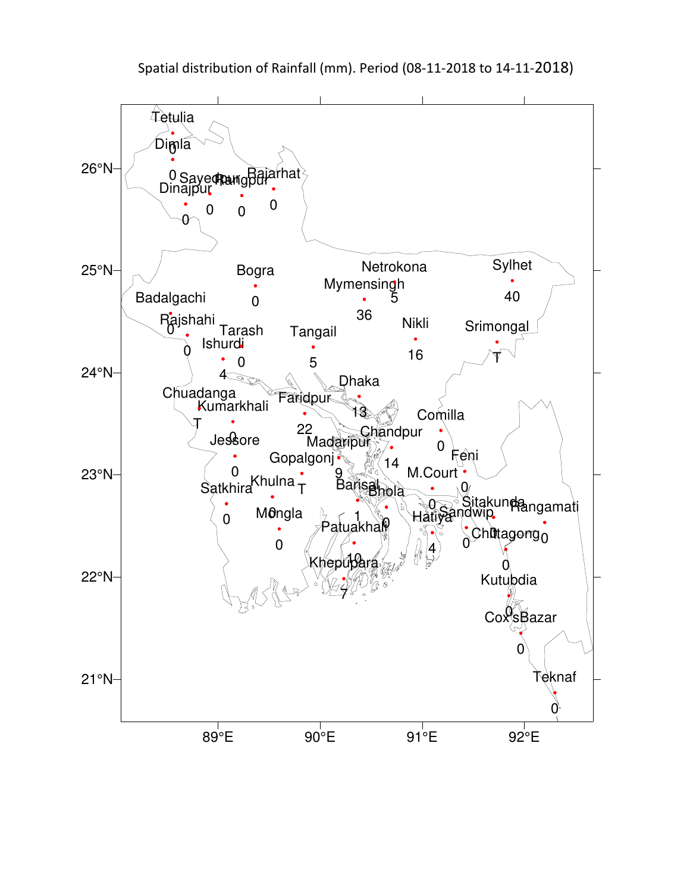

Spatial distribution of Rainfall (mm). Period (08-11-2018 to 14-11-2018)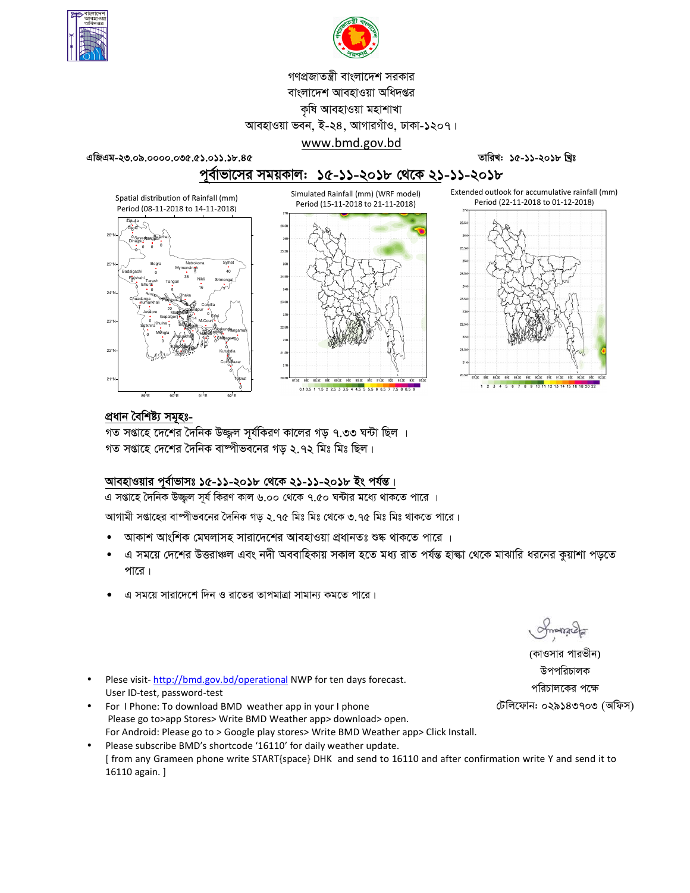



# গণপ্রজাতন্ত্রী বাংলাদেশ সরকার বাংলাদেশ আবহাওয়া অধিদপ্তর কৃষি আবহাওয়া মহাশাখা আবহাওয়া ভবন, ই-২৪, আগারগাঁও, ঢাকা-১২০৭। www.bmd.gov.bd

 $498.32.36.0000.000.000.000.31.36.80$ 

তারিখ: ১৫-১১-২০১৮ খিঃ

Extended outlook for accumulative rainfall (mm)



Spatial distribution of Rainfall (mm) Period (08-11-2018 to 14-11-2018)







# প্ৰধান বৈশিষ্ট্য সমূহঃ-

গত সপ্তাহে দেশের দৈনিক উজ্জল সূর্যকিরণ কালের গড় ৭.৩৩ ঘন্টা ছিল । গত সপ্তাহে দেশের দৈনিক বাষ্পীভবনের গড ২.৭২ মিঃ মিঃ ছিল।

## আবহাওয়ার পূর্বাভাসঃ ১৫-১১-২০১৮ থেকে ২১-১১-২০১৮ ইং পর্যন্ত।

এ সপ্তাহে দৈনিক উজ্জুল সূর্য কিরণ কাল ৬.০০ থেকে ৭.৫০ ঘন্টার মধ্যে থাকতে পারে ।

আগামী সপ্তাহের বাঙ্গীভবনের দৈনিক গড় ২.৭৫ মিঃ মিঃ থেকে ৩.৭৫ মিঃ মিঃ থাকতে পারে।

- আকাশ আংশিক মেঘলাসহ সারাদেশের আবহাওয়া প্রধানতঃ শুষ্ক থাকতে পারে ।
- এ সময়ে দেশের উত্তরাঞ্চল এবং নদী অববাহিকায় সকাল হতে মধ্য রাত পর্যন্ত হাল্কা থেকে মাঝারি ধরনের কুয়াশা পড়তে পারে।
- এ সময়ে সারাদেশে দিন ও রাতের তাপমাত্রা সামান্য কমতে পারে।

Plese visit-http://bmd.gov.bd/operational NWP for ten days forecast. User ID-test, password-test

Please go to>app Stores> Write BMD Weather app> download> open.

- For I Phone: To download BMD weather app in your I phone
- For Android: Please go to > Google play stores> Write BMD Weather app> Click Install. Please subscribe BMD's shortcode '16110' for daily weather update. [from any Grameen phone write START{space} DHK and send to 16110 and after confirmation write Y and send it to 16110 again.]

(কাওসার পারভীন) উপপরিচালক পরিচালকের পক্ষে টেলিফোন: ০২৯১৪৩৭০৩ (অফিস)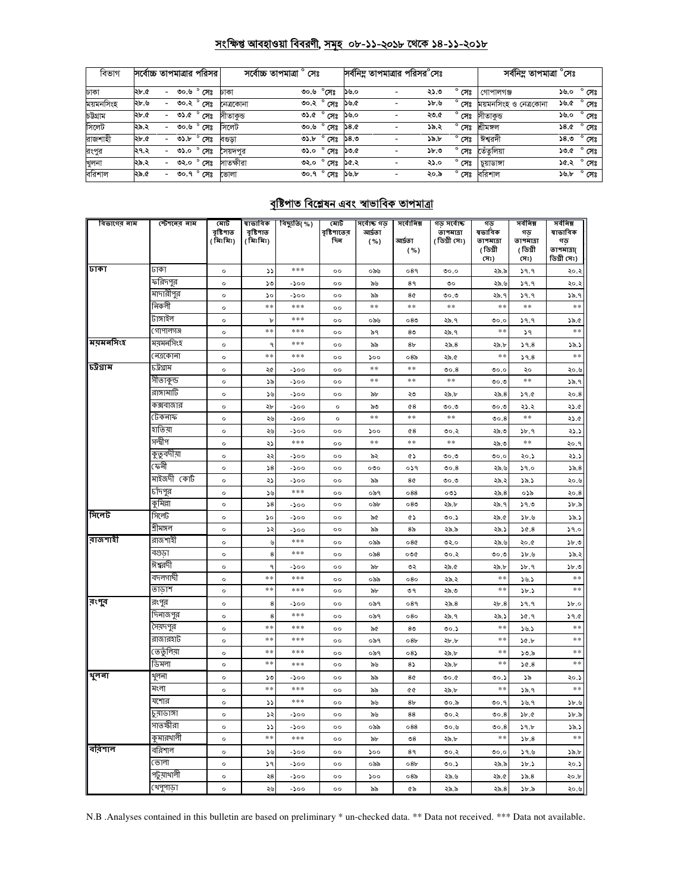# সংক্ষিপ্ত আবহাওয়া বিবরণী, সমূহ ০৮-১১-২০১৮ থেকে ১৪-১১-২০১৮

| াবভাগ     | সর্বোচ্চ তাপমাত্রার পরিসর |                          |                   |                |           | সৰ্বোচ্চ তাপমাত্ৰা ° সেঃ |                          |      | সর্বনিম তাপমাত্রার পরিসর <sup>o</sup> সেঃ |      |                | সর্বনিম তাপমাত্রা $^\circ$ সেঃ |      |                |  |
|-----------|---------------------------|--------------------------|-------------------|----------------|-----------|--------------------------|--------------------------|------|-------------------------------------------|------|----------------|--------------------------------|------|----------------|--|
| ঢাকা      | ২৮.৫                      | $\overline{\phantom{a}}$ | ৩০.৬              | $^{\circ}$ সেঃ | ঢাকা      | ৩০.৬                     | $^{\circ}$ সেঃ           | ১৬.০ |                                           | ২১.৩ | সেঃ            | গোপালগঞ্জ                      | ১৬.০ | $^{\circ}$ সেঃ |  |
| ময়মনসিংহ | ২৮.৬                      | $\overline{\phantom{a}}$ |                   | ৩০.২ ° সেঃ     | নেত্ৰকোনা |                          | ৩০.২ ° সেঃ               | ১৬.৫ |                                           | ১৮.৬ | $^{\circ}$ সেঃ | ময়মনাসংহ ও নেত্ৰকোনা          | ১৬.৫ | $^{\circ}$ সেঃ |  |
| চউগ্ৰাম   | ২৮.৫                      | $\overline{\phantom{a}}$ | <b>ు.</b> ৫ ° దాః |                | সীতাকড    |                          | ৩১.৫ ° সেঃ               | ১৬.০ |                                           | ২৩.৫ | সেঃ            | সীতাকভ                         | ১৬.০ | $^{\circ}$ সেঃ |  |
| সিলেট     | ২৯.২                      | $\overline{\phantom{0}}$ | ৩০.৬              | $^{\circ}$ সেঃ | সিলেট     |                          | ত০.৬ ° সেঃ               | 38.0 |                                           | ১৯.২ | $^{\circ}$ সেঃ | খীমঙ্গল                        | 38.0 | $^{\circ}$ সেঃ |  |
| রাজশাহী   | ২৮.৫                      | $\overline{\phantom{0}}$ | ৩১.৮              | $^{\circ}$ সেঃ | বণ্ডডা    |                          | ত ১৮ $^{\circ}$ সেঃ ১৪.৩ |      |                                           | ১৯.৮ | $^{\circ}$ সেঃ | স্বিরদী                        | ১৪.৩ | $^{\circ}$ সেঃ |  |
| রংপুর     | ২৭.২                      | $\overline{\phantom{0}}$ | ৩১.০              | $^{\circ}$ সেঃ | সৈয়দপুর  |                          | ৩১.০ ° সেঃ ১৩.৫          |      |                                           | ৩.৩১ | $^{\circ}$ সেঃ | তেঁতুলিয়া                     | ১৩.৫ | $^{\circ}$ সেঃ |  |
| খুলনা     | ২৯.২                      | $\overline{\phantom{a}}$ | ৩২.০              | $^{\circ}$ সেঃ | সাতক্ষীরা | ৩২.০                     | $^{\circ}$ সেঃ           | ১৫.২ |                                           | ২১.০ | ۰<br>সেঃ       | চয়াডাঙ্গা                     | ১৫.২ | $^{\circ}$ সেঃ |  |
| বরিশাল    | ২৯.৫                      | $\overline{\phantom{a}}$ |                   | ৩০.৭ ° সেঃ     | ভোলা      |                          | ত $0.9^\circ$ সেঃ ১৬.৮   |      | $\overline{\phantom{a}}$                  | ২০.৯ | $^{\circ}$ সেঃ | বরিশাল                         | ১৬.৮ | $^{\circ}$ সেঃ |  |

# <u>বৃষ্টিপাত বিশ্লেষন এবং স্বাভাবিক তাপমাত্রা</u>

| বিভাগের নাম | স্টেশনের নাম  | মোট                    | ষাভাবিক                | বিছ্যুতি(%) | মোট                | সৰ্বোচ্চ গড়     | সৰ্বোনিম্ন                          | গড় সৰ্বোচ্চ              | গড<br>ষভাবিক | সৰ্বনিম্ন        | সর্বনিম্ন<br>ষাভাবিক   |
|-------------|---------------|------------------------|------------------------|-------------|--------------------|------------------|-------------------------------------|---------------------------|--------------|------------------|------------------------|
|             |               | বৃষ্টিপাত<br>( মিঃমিঃ) | বৃষ্টিপাত<br>( মিঃমিঃ) |             | বৃষ্টিশাতের<br>দিন | আৰ্দ্ৰতা<br>( %) | আৰ্ঘতা                              | তাপমাত্রা<br>(ডিগ্ৰী সেঃ) | তাপমাত্রা    | গড়<br>তাপমাত্রা | গড                     |
|             |               |                        |                        |             |                    |                  | ( %)                                |                           | (ডিগ্ৰী      | (ডিগ্ৰী          | তাপমাত্রা(             |
|             |               |                        |                        |             |                    |                  |                                     |                           | (সঃ)         | (সঃ)             | ডিগ্ৰী সেঃ)            |
| ঢাকা        | ঢাকা          | $\circ$                | دد                     | ***         | $\circ$            | ০৯৬              | 089                                 | 0.00                      | ২৯.৯         | 39.9             | ২০.২                   |
|             | ফরিদপুর       | $\circ$                | ১৩                     | -১০০        | $\circ$            | ৯৬               | 89                                  | ৩০                        | ২৯.৬         | 39.9             | ২০.২                   |
|             | মাদারীপুর     | $\circ$                | $\mathcal{L}$          | -১০০        | $\circ$            | ৯৯               | 8¢                                  | 0.00                      | ২৯. ৭        | 9.9              | 38.9                   |
|             | নিকলী         | $\circ$                | $\ast\ast$             | ***         | $\circ$            | $\ast$ $\ast$    | **                                  | $\ast$ $\ast$             | **           | $**$             | **                     |
|             | টাঙ্গাইল      | $\circ$                | b                      | ***         | $^{\circ}$         | ০৯৬              | 080                                 | ২৯.৭                      | 0.00         | 39.9             | 38.0                   |
|             | গোপালগঞ্জ     | $\circ$                | $* *$                  | ***         | $\circ$            | ৯৭               | 8 <sub>0</sub>                      | ২৯.৭                      | $* *$        | ১৭               | $**$                   |
| ময়মনসিংহ   | ময়মনসিংহ     | $\circ$                | $\ddot{ }$             | ***         | $\circ$            | ৯৯               | 8 <sub>b</sub>                      | 25.8                      | ২৯.৮         | 59.8             | ১৯.১                   |
|             | নেত্ৰকোনা     | $\circ$                | $*$                    | ***         | $\circ$            | 500              | 08 <sub>o</sub>                     | ২৯.৫                      | $**$         | 59.8             | $**$                   |
| চট্ৰগ্ৰাম   | ঢট্ৰগ্ৰাম     | $\circ$                | ২৫                     | -১০০        | $\circ$            | $\ast$ $\ast$    | $\ast$ $\ast$                       | 00.8                      | 0.00         | ২০               | ২০.৬                   |
|             | সীতাকুন্ড     | $\circ$                | ১৯                     | $-500$      | $^{\circ}$         | **               | **                                  | $\ast$ $\ast$             | 0.00         | $\ast\ast$       | 38.9                   |
|             | রাঙ্গামাটি    | $\circ$                | ১৬                     | -১০০        | $^{\circ}$         | ৯৮               | ২৩                                  | ২৯.৮                      | 25.8         | 9.6              | ২০.৪                   |
|             | কক্সবাজার     | $\circ$                | ২৮                     | $-500$      | $\circ$            | ৯৩               | 68                                  | 0.00                      | ಲಿ.೦         | ২১.২             | ২১.৫                   |
|             | টেকনাফ        | $\circ$                | ২৬                     | -১০০        | $\circ$            | $**$             | **                                  | $**$                      | 00.8         | **               | ২১.৫                   |
|             | হাতিয়া       | $\circ$                | ২৬                     | -১০০        | $^{\circ}$         | 500              | 68                                  | ৩০.২                      | ২৯.৩         | 3b.9             | د.دڊ                   |
|             | সন্দ্বীপ      | $\circ$                | ২১                     | $* * *$     | 00                 | $\pm$ $\pm$      | $\pm \pm$                           | $\ast$ $\ast$             | ২৯.৩         | $\ast$ $\ast$    | ২০.৭                   |
|             | কুতুবদীয়া    | $\circ$                | ২২                     | -১০০        | $^{\circ}$         | ৯২               | œ۵                                  | 0.00                      | 0.00         | ২০.১             | ২১.১                   |
|             | ফেনী          | $\circ$                | 58                     | $-500$      | $^{\circ}$         | ೲ                | ०১৭                                 | 00.8                      | ২৯.৬         | 39.0             | 55.8                   |
|             | মাইজদী (কার্ট | $\circ$                | ২১                     | -200        | $^{\circ}$         | ৯৯               | 8¢                                  | 0.00                      | ২৯.২         | 38.5             | ২০.৬                   |
|             | চাঁদপুর       | $\circ$                | ১৬                     | ***         | $^{\circ}$         | ০৯৭              | 088                                 | ০৩১                       | 25.8         | ০১৯              | 20.8                   |
|             | কুমিল্লা      | $\circ$                | 58                     | -১০০        | $^{\circ}$         | ০৯৮              | 080                                 | ২৯.৮                      | ২৯.৭         | 9.9              | ১৮.৯                   |
| সিলেট       | সিলেট         | $\circ$                | ১০                     | -200        | $^{\circ}$         | ৯৫               | ¢۵                                  | ৩০.১                      | ২৯.৫         | ১৮.৬             | 38.5                   |
|             | শ্ৰীমঙ্গল     | $\circ$                | ډډ                     | -200        | $\circ \circ$      | ৯৯               | 8 <sub>o</sub>                      | ২৯.৯                      | ২৯.১         | 36.8             | 59.0                   |
| রাজশাহী     | রাজশাহী       | $\circ$                | ψ                      | ***         | $^{\circ}$         | ০৯৯              | 08Q                                 | ৩২.০                      | ২৯.৬         | ১.০২             | 5b.9                   |
|             | বগুডা         | $\circ$                | 8                      | ***         | $\circ$            | ಂನಿ $8$          | ০৩৫                                 | ৩০.২                      | 0.00         | 3b.9             | ১৯.২                   |
|             | ঈশ্বরদী       | $\circ$                |                        | -১০০        | $^{\circ}$         | ৯৮               | ৩২                                  | ২৯.৫                      | ২৯.৮         | 3b.9             | 3b.9                   |
|             | বদলগাঘী       | $\circ$                | $*$                    | ***         | $\circ$            | ০৯৯              | 080                                 | ২৯.২                      | $* *$        | 39.5             | $* *$                  |
|             | তাডাশ         | $\circ$                | $* *$                  | $* * *$     | $^{\circ}$         | ৯৮               | ৩৭                                  | ২৯.৩                      | $* *$        | 3b.5             | $**$                   |
| রংপুর       | রংপুর         | $\circ$                | 8                      | -১০০        | $\circ$            | ০৯৭              | 089                                 | ২৯.৪                      | 2b.8         | 9.9              | 5b.0                   |
|             | দিনাজপুর      | $\circ$                | 8                      | ***         | $\circ \circ$      | ০৯৭              | 080                                 | ২৯.৭                      | ২৯.১         | ১৫.৭             | 9.6                    |
|             | সৈয়দপুর      | $\circ$                | $*$                    | ***         | $\circ$            | ৯৫               | 8 <sub>0</sub>                      | 00.5                      | $\pm$ $\pm$  | 39.5             | $\pm$ $\pm$            |
|             | রাজারহাট      | $\circ$                | $* *$                  | ***         | $\circ$            | ০৯৭              | 08 <sub>b</sub>                     | ২৮.৮                      | $**$         | 30.5             | $**$                   |
|             | তেতুঁলিয়া    | $\circ$                | $*$                    | ***         | $^{\circ}$         | ০৯৭              | $08\lambda$                         | ২৯.৮                      | $* *$        | 50.5             | $**$                   |
|             | ডিমলা         | $\circ$                | $*$                    | ***         | $^{\circ}$         | ৯৬               | 85                                  | ২৯.৮                      | $**$         | 26.8             | $**$                   |
| থুলনা       | থুলনা         | $\circ$                | ১৩                     | -১০০        | $\circ$            | ৯৯               | 8¢                                  | 0.00                      | 00.5         | ১৯               | ২০.১                   |
|             | মংলা          | $\circ$                | $\pm$ $\pm$            | $* * *$     | $^{\circ}$         | ৯৯               | Q¢                                  | ২৯.৮                      | $\pm$ $\pm$  | 38.9             | $\ast$ $\ast$          |
|             | যশোর          | $\circ$                | دد                     | ***         | $^{\circ}$         | ৯৬               | 8 <sub>b</sub>                      | ৩০.৯                      | 00.9         | 39.9             | ১৮.৬                   |
|             | চুয়াডাঙ্গা   | $\circ$                | ډډ                     | -১০০        | $^{\circ}$         | ৯৬               | 88                                  | ৩০.২                      | 00.8         | 3b.6             | 3b.5                   |
|             | সাতক্ষীরা     | $\circ$                | دد                     | -১০০        | $\circ \circ$      | ০৯৯              | 088                                 | ৩০.৬                      | 00.8         | ১৭.৮             | 38.5                   |
|             | কৃমারখালী     | $\circ$                | $* *$                  | ***         | $^{\circ}$         | ৯৮               | $\mathbin{\textcircled{\small{8}}}$ | ২৯.৮                      | $**$         | 5b.8             | **                     |
| ববিশাল      | বরিশাল        | $\circ$                | ১৬                     | -200        | 00                 | 500              | 89                                  | 00.3                      | 0.00         | 39.6             | $\mathcal{S}_{\alpha}$ |
|             | ভোলা          | $\circ$                | ১৭                     | -200        | $^{\circ}$         | ০৯৯              | 08b                                 | ৩০.১                      | ২৯.৯         | $\delta b.$      | ২০.১                   |
|             | পটুয়াথালী    | $\circ$                | ২8                     | -১০০        | $^{\circ}$         | 500              | 08 <sub>o</sub>                     | ২৯.৬                      | ২৯.৫         | 55.8             | ২০.৮                   |
|             | খেপুপাড়া     | $\circ$                | ২৬                     | -১০০        | $^{\circ}$         | ৯৯               | ৫৯                                  | ২৯.৯                      | 25.8         | 3b.5             | ২০.৬                   |

N.B .Analyses contained in this bulletin are based on preliminary \* un-checked data. \*\* Data not received. \*\*\* Data not available.